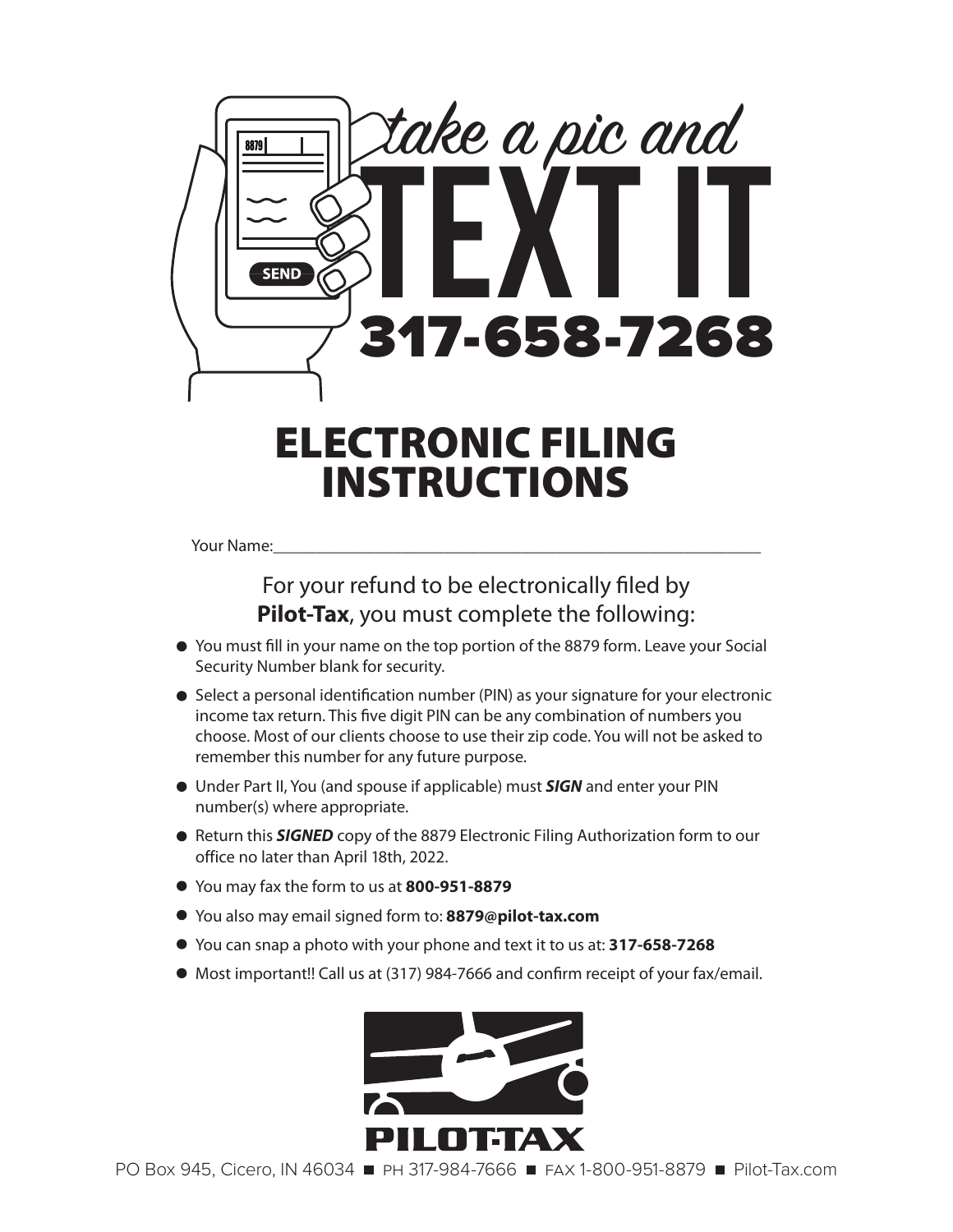

# ELECTRONIC FILING INSTRUCTIONS

Your Name:

## For your refund to be electronically filed by **Pilot-Tax**, you must complete the following:

- You must fill in your name on the top portion of the 8879 form. Leave your Social Security Number blank for security.
- Select a personal identification number (PIN) as your signature for your electronic income tax return. This five digit PIN can be any combination of numbers you choose. Most of our clients choose to use their zip code. You will not be asked to remember this number for any future purpose.
- Under Part II, You (and spouse if applicable) must *SIGN* and enter your PIN number(s) where appropriate.
- Return this **SIGNED** copy of the 8879 Electronic Filing Authorization form to our office no later than April 18th, 2022.
- You may fax the form to us at **800-951-8879**
- You also may email signed form to: **8879@pilot-tax.com**
- You can snap a photo with your phone and text it to us at: **317-658-7268**
- Most important!! Call us at (317) 984-7666 and confirm receipt of your fax/email.